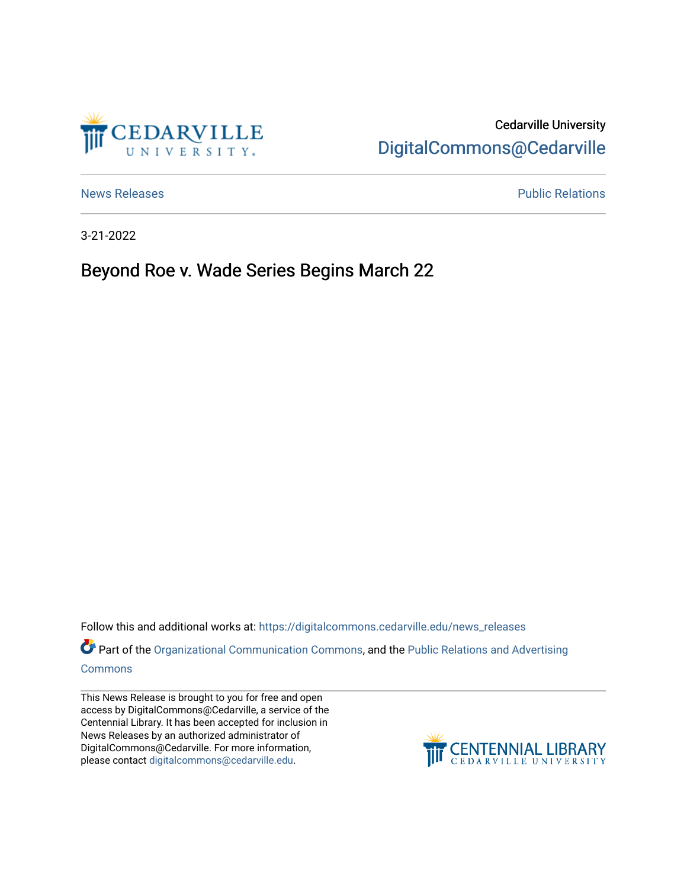

## Cedarville University [DigitalCommons@Cedarville](https://digitalcommons.cedarville.edu/)

[News Releases](https://digitalcommons.cedarville.edu/news_releases) **Public Relations Public Relations** 

3-21-2022

## Beyond Roe v. Wade Series Begins March 22

Follow this and additional works at: [https://digitalcommons.cedarville.edu/news\\_releases](https://digitalcommons.cedarville.edu/news_releases?utm_source=digitalcommons.cedarville.edu%2Fnews_releases%2F1520&utm_medium=PDF&utm_campaign=PDFCoverPages) 

Part of the [Organizational Communication Commons](http://network.bepress.com/hgg/discipline/335?utm_source=digitalcommons.cedarville.edu%2Fnews_releases%2F1520&utm_medium=PDF&utm_campaign=PDFCoverPages), and the Public Relations and Advertising [Commons](http://network.bepress.com/hgg/discipline/336?utm_source=digitalcommons.cedarville.edu%2Fnews_releases%2F1520&utm_medium=PDF&utm_campaign=PDFCoverPages)

This News Release is brought to you for free and open access by DigitalCommons@Cedarville, a service of the Centennial Library. It has been accepted for inclusion in News Releases by an authorized administrator of DigitalCommons@Cedarville. For more information, please contact [digitalcommons@cedarville.edu](mailto:digitalcommons@cedarville.edu).

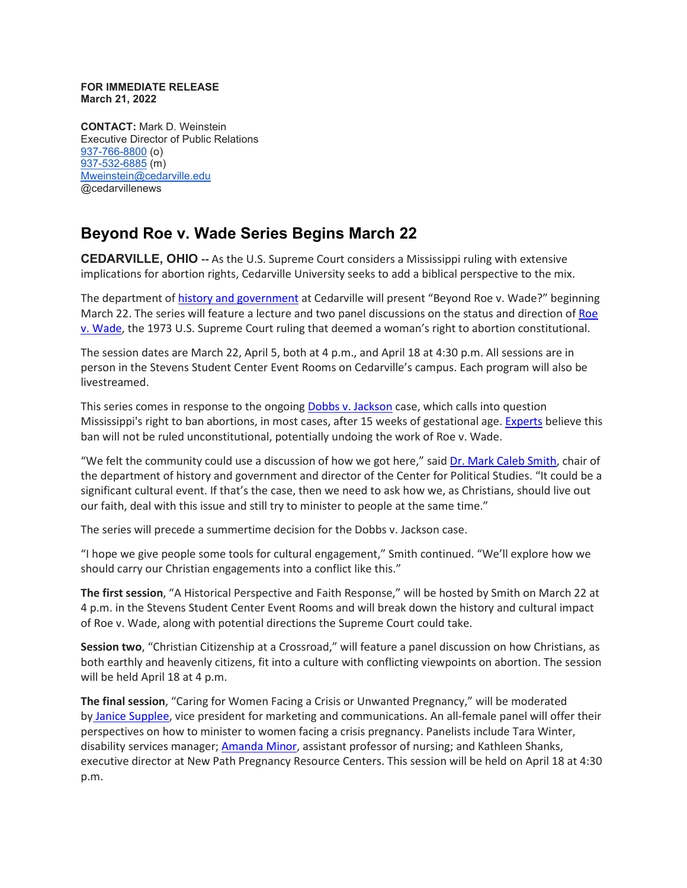## **FOR IMMEDIATE RELEASE March 21, 2022**

**CONTACT:** Mark D. Weinstein Executive Director of Public Relations [937-766-8800](tel:937-766-8800) (o) [937-532-6885](tel:937-532-6885) (m) [Mweinstein@cedarville.edu](mailto:Mweinstein@cedarville.edu) @cedarvillenews

## **Beyond Roe v. Wade Series Begins March 22**

**CEDARVILLE, OHIO --** As the U.S. Supreme Court considers a Mississippi ruling with extensive implications for abortion rights, Cedarville University seeks to add a biblical perspective to the mix.

The department of [history and government](https://www.cedarville.edu/academic-schools-and-departments/history-and-government) at Cedarville will present "Beyond Roe v. Wade?" beginning March 22. The series will feature a lecture and two panel discussions on the status and direction of [Roe](https://www.oyez.org/cases/1971/70-18)  [v. Wade,](https://www.oyez.org/cases/1971/70-18) the 1973 U.S. Supreme Court ruling that deemed a woman's right to abortion constitutional.

The session dates are March 22, April 5, both at 4 p.m., and April 18 at 4:30 p.m. All sessions are in person in the Stevens Student Center Event Rooms on Cedarville's campus. Each program will also be livestreamed.

This series comes in response to the ongoing [Dobbs v. Jackson](https://www.oyez.org/cases/2021/19-1392) case, which calls into question Mississippi's right to ban abortions, in most cases, after 15 weeks of gestational age. [Experts](https://www.npr.org/sections/health-shots/2022/01/21/1074605184/abortion-roe-v-wade-supreme-court) believe this ban will not be ruled unconstitutional, potentially undoing the work of Roe v. Wade.

"We felt the community could use a discussion of how we got here," said [Dr.](https://www.cedarville.edu/academic-schools-and-departments/history-and-government/faculty-staff/smith-mark) [Mark Caleb Smith,](https://www.cedarville.edu/academic-schools-and-departments/history-and-government/faculty-staff/smith-mark) chair of the department of history and government and director of the Center for Political Studies. "It could be a significant cultural event. If that's the case, then we need to ask how we, as Christians, should live out our faith, deal with this issue and still try to minister to people at the same time."

The series will precede a summertime decision for the Dobbs v. Jackson case.

"I hope we give people some tools for cultural engagement," Smith continued. "We'll explore how we should carry our Christian engagements into a conflict like this."

**The first session**, "A Historical Perspective and Faith Response," will be hosted by Smith on March 22 at 4 p.m. in the Stevens Student Center Event Rooms and will break down the history and cultural impact of Roe v. Wade, along with potential directions the Supreme Court could take.

**Session two**, "Christian Citizenship at a Crossroad," will feature a panel discussion on how Christians, as both earthly and heavenly citizens, fit into a culture with conflicting viewpoints on abortion. The session will be held April 18 at 4 p.m.

**The final session**, "Caring for Women Facing a Crisis or Unwanted Pregnancy," will be moderated b[y](https://www.cedarville.edu/marketing-and-communications/contact-us/janice-supplee) [Janice Supplee,](https://www.cedarville.edu/marketing-and-communications/contact-us/janice-supplee) vice president for marketing and communications. An all-female panel will offer their perspectives on how to minister to women facing a crisis pregnancy. Panelists include Tara Winter, disability services manager; [Amanda Minor,](https://www.cedarville.edu/academic-schools-and-departments/nursing/undergraduate/faculty-staff/amanda-minor) assistant professor of nursing; and Kathleen Shanks, executive director at New Path Pregnancy Resource Centers. This session will be held on April 18 at 4:30 p.m.